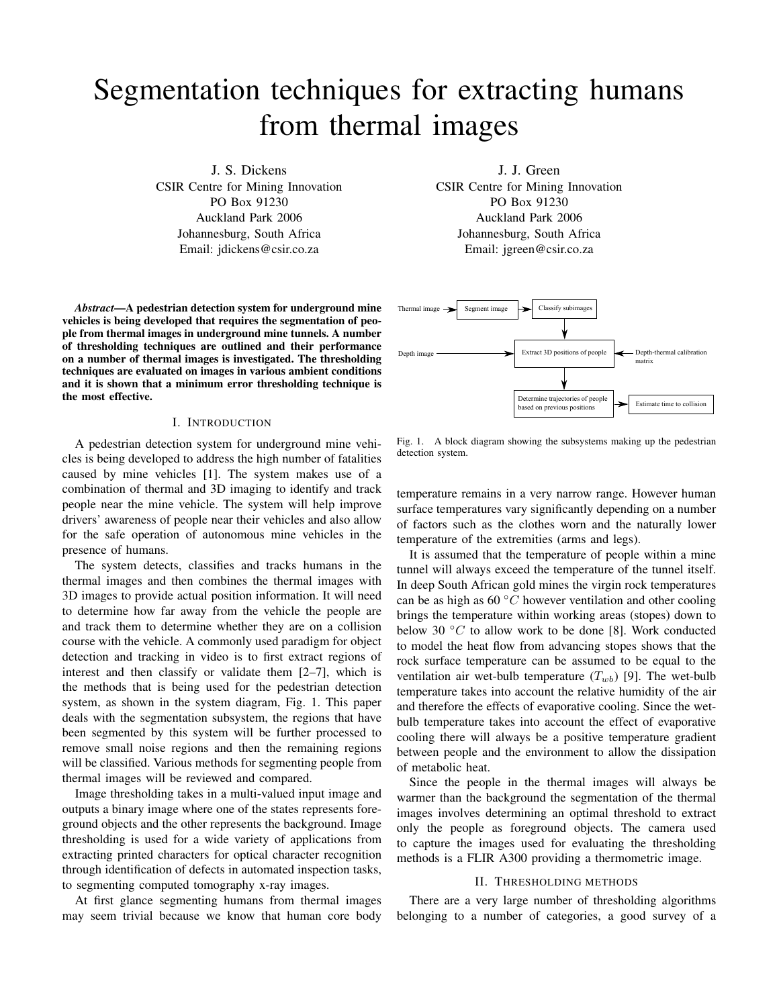# Segmentation techniques for extracting humans from thermal images

J. S. Dickens CSIR Centre for Mining Innovation PO Box 91230 Auckland Park 2006 Johannesburg, South Africa Email: jdickens@csir.co.za

J. J. Green CSIR Centre for Mining Innovation PO Box 91230 Auckland Park 2006 Johannesburg, South Africa Email: jgreen@csir.co.za

*Abstract*—A pedestrian detection system for underground mine vehicles is being developed that requires the segmentation of people from thermal images in underground mine tunnels. A number of thresholding techniques are outlined and their performance on a number of thermal images is investigated. The thresholding techniques are evaluated on images in various ambient conditions and it is shown that a minimum error thresholding technique is the most effective.

#### I. INTRODUCTION

A pedestrian detection system for underground mine vehicles is being developed to address the high number of fatalities caused by mine vehicles [1]. The system makes use of a combination of thermal and 3D imaging to identify and track people near the mine vehicle. The system will help improve drivers' awareness of people near their vehicles and also allow for the safe operation of autonomous mine vehicles in the presence of humans.

The system detects, classifies and tracks humans in the thermal images and then combines the thermal images with 3D images to provide actual position information. It will need to determine how far away from the vehicle the people are and track them to determine whether they are on a collision course with the vehicle. A commonly used paradigm for object detection and tracking in video is to first extract regions of interest and then classify or validate them [2–7], which is the methods that is being used for the pedestrian detection system, as shown in the system diagram, Fig. 1. This paper deals with the segmentation subsystem, the regions that have been segmented by this system will be further processed to remove small noise regions and then the remaining regions will be classified. Various methods for segmenting people from thermal images will be reviewed and compared.

Image thresholding takes in a multi-valued input image and outputs a binary image where one of the states represents foreground objects and the other represents the background. Image thresholding is used for a wide variety of applications from extracting printed characters for optical character recognition through identification of defects in automated inspection tasks, to segmenting computed tomography x-ray images.

At first glance segmenting humans from thermal images may seem trivial because we know that human core body

Fig. 1. A block diagram showing the subsystems making up the pedestrian detection system.

temperature remains in a very narrow range. However human surface temperatures vary significantly depending on a number of factors such as the clothes worn and the naturally lower temperature of the extremities (arms and legs).

It is assumed that the temperature of people within a mine tunnel will always exceed the temperature of the tunnel itself. In deep South African gold mines the virgin rock temperatures can be as high as  $60 °C$  however ventilation and other cooling brings the temperature within working areas (stopes) down to below 30  $\degree$ C to allow work to be done [8]. Work conducted to model the heat flow from advancing stopes shows that the rock surface temperature can be assumed to be equal to the ventilation air wet-bulb temperature  $(T_{wb})$  [9]. The wet-bulb temperature takes into account the relative humidity of the air and therefore the effects of evaporative cooling. Since the wetbulb temperature takes into account the effect of evaporative cooling there will always be a positive temperature gradient between people and the environment to allow the dissipation of metabolic heat.

Since the people in the thermal images will always be warmer than the background the segmentation of the thermal images involves determining an optimal threshold to extract only the people as foreground objects. The camera used to capture the images used for evaluating the thresholding methods is a FLIR A300 providing a thermometric image.

## II. THRESHOLDING METHODS

There are a very large number of thresholding algorithms belonging to a number of categories, a good survey of a

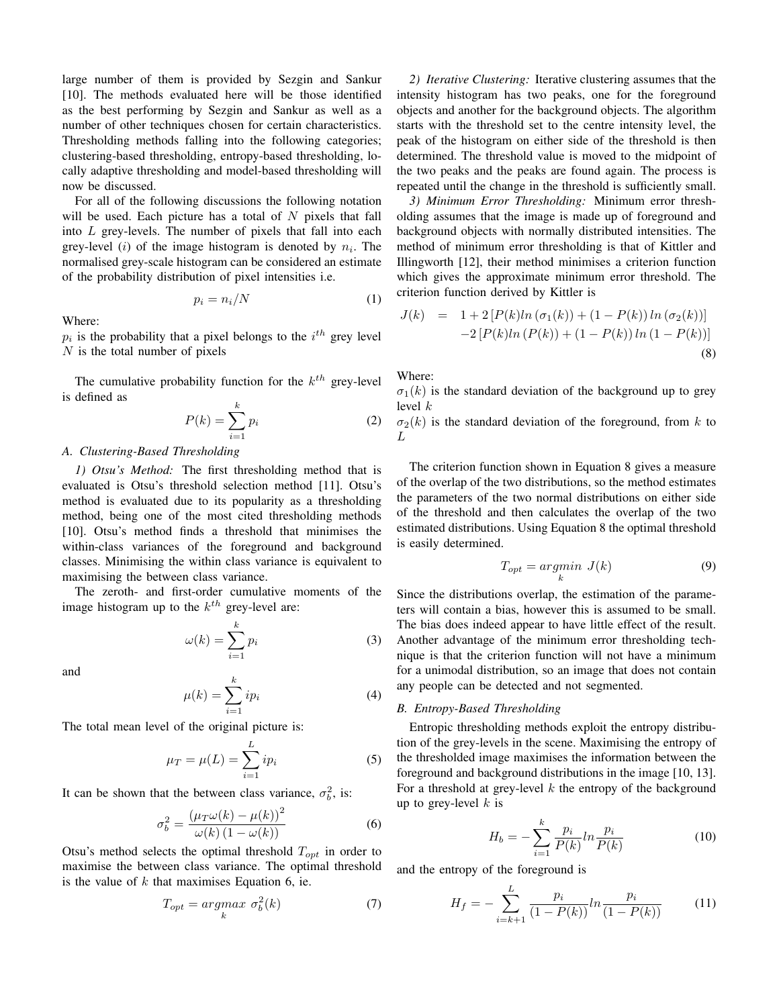large number of them is provided by Sezgin and Sankur [10]. The methods evaluated here will be those identified as the best performing by Sezgin and Sankur as well as a number of other techniques chosen for certain characteristics. Thresholding methods falling into the following categories; clustering-based thresholding, entropy-based thresholding, locally adaptive thresholding and model-based thresholding will now be discussed.

For all of the following discussions the following notation will be used. Each picture has a total of  $N$  pixels that fall into  $L$  grey-levels. The number of pixels that fall into each grey-level (*i*) of the image histogram is denoted by  $n_i$ . The normalised grey-scale histogram can be considered an estimate of the probability distribution of pixel intensities i.e.

$$
p_i = n_i/N \tag{1}
$$

Where:

 $p_i$  is the probability that a pixel belongs to the  $i^{th}$  grey level  $N$  is the total number of pixels

The cumulative probability function for the  $k^{th}$  grey-level is defined as k

$$
P(k) = \sum_{i=1}^{k} p_i
$$
 (2)

### *A. Clustering-Based Thresholding*

*1) Otsu's Method:* The first thresholding method that is evaluated is Otsu's threshold selection method [11]. Otsu's method is evaluated due to its popularity as a thresholding method, being one of the most cited thresholding methods [10]. Otsu's method finds a threshold that minimises the within-class variances of the foreground and background classes. Minimising the within class variance is equivalent to maximising the between class variance.

The zeroth- and first-order cumulative moments of the image histogram up to the  $k^{th}$  grey-level are:

$$
\omega(k) = \sum_{i=1}^{k} p_i \tag{3}
$$

and

$$
\mu(k) = \sum_{i=1}^{k} i p_i \tag{4}
$$

The total mean level of the original picture is:

$$
\mu_T = \mu(L) = \sum_{i=1}^{L} i p_i
$$
 (5)

It can be shown that the between class variance,  $\sigma_b^2$ , is:

$$
\sigma_b^2 = \frac{\left(\mu_T \omega(k) - \mu(k)\right)^2}{\omega(k)\left(1 - \omega(k)\right)}\tag{6}
$$

Otsu's method selects the optimal threshold  $T_{opt}$  in order to maximise the between class variance. The optimal threshold is the value of  $k$  that maximises Equation 6, ie.

$$
T_{opt} = \underset{k}{argmax} \ \sigma_b^2(k) \tag{7}
$$

*2) Iterative Clustering:* Iterative clustering assumes that the intensity histogram has two peaks, one for the foreground objects and another for the background objects. The algorithm starts with the threshold set to the centre intensity level, the peak of the histogram on either side of the threshold is then determined. The threshold value is moved to the midpoint of the two peaks and the peaks are found again. The process is repeated until the change in the threshold is sufficiently small.

*3) Minimum Error Thresholding:* Minimum error thresholding assumes that the image is made up of foreground and background objects with normally distributed intensities. The method of minimum error thresholding is that of Kittler and Illingworth [12], their method minimises a criterion function which gives the approximate minimum error threshold. The criterion function derived by Kittler is

$$
J(k) = 1 + 2 [P(k)ln (\sigma_1(k)) + (1 - P(k))ln (\sigma_2(k))]
$$
  
-2 [P(k)ln (P(k)) + (1 - P(k))ln (1 - P(k))]  
(8)

Where:

 $\sigma_1(k)$  is the standard deviation of the background up to grey level  $k$ 

 $\sigma_2(k)$  is the standard deviation of the foreground, from k to L

The criterion function shown in Equation 8 gives a measure of the overlap of the two distributions, so the method estimates the parameters of the two normal distributions on either side of the threshold and then calculates the overlap of the two estimated distributions. Using Equation 8 the optimal threshold is easily determined.

$$
T_{opt} = \underset{k}{argmin} \ J(k) \tag{9}
$$

Since the distributions overlap, the estimation of the parameters will contain a bias, however this is assumed to be small. The bias does indeed appear to have little effect of the result. Another advantage of the minimum error thresholding technique is that the criterion function will not have a minimum for a unimodal distribution, so an image that does not contain any people can be detected and not segmented.

# *B. Entropy-Based Thresholding*

Entropic thresholding methods exploit the entropy distribution of the grey-levels in the scene. Maximising the entropy of the thresholded image maximises the information between the foreground and background distributions in the image [10, 13]. For a threshold at grey-level  $k$  the entropy of the background up to grey-level  $k$  is

$$
H_b = -\sum_{i=1}^{k} \frac{p_i}{P(k)} ln \frac{p_i}{P(k)}
$$
(10)

and the entropy of the foreground is

$$
H_f = -\sum_{i=k+1}^{L} \frac{p_i}{(1 - P(k))} ln \frac{p_i}{(1 - P(k))}
$$
(11)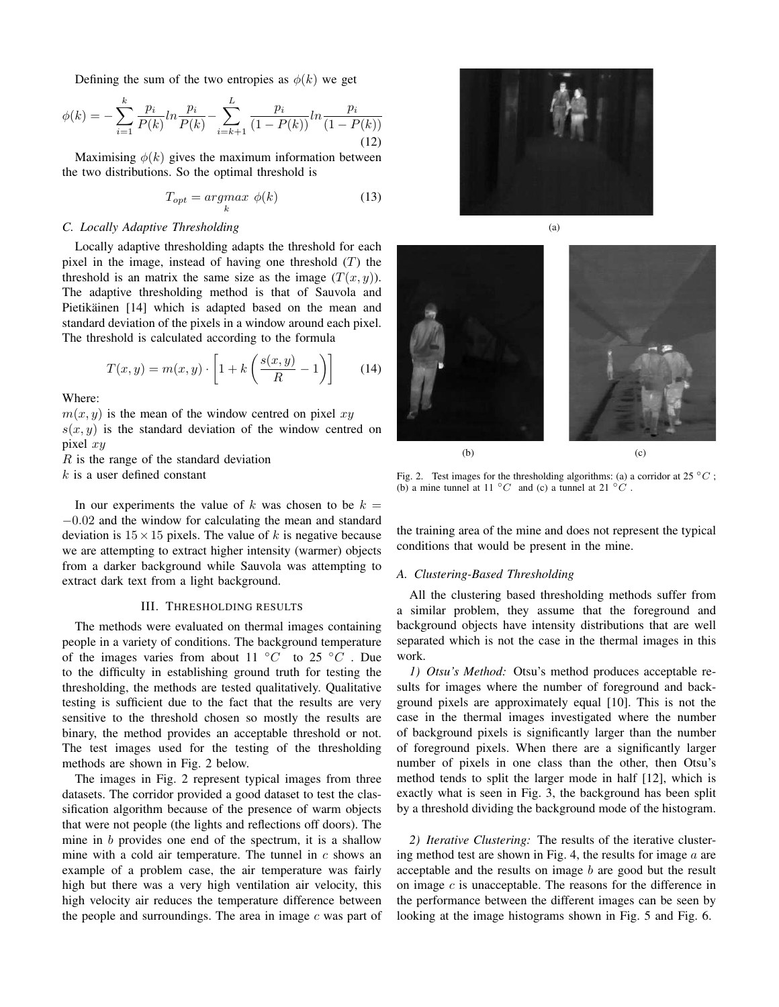Defining the sum of the two entropies as  $\phi(k)$  we get

$$
\phi(k) = -\sum_{i=1}^{k} \frac{p_i}{P(k)} ln \frac{p_i}{P(k)} - \sum_{i=k+1}^{L} \frac{p_i}{(1 - P(k))} ln \frac{p_i}{(1 - P(k))}
$$
\n(12)

Maximising  $\phi(k)$  gives the maximum information between the two distributions. So the optimal threshold is

$$
T_{opt} = \underset{k}{argmax} \ \phi(k) \tag{13}
$$

#### *C. Locally Adaptive Thresholding*

Locally adaptive thresholding adapts the threshold for each pixel in the image, instead of having one threshold  $(T)$  the threshold is an matrix the same size as the image  $(T(x, y))$ . The adaptive thresholding method is that of Sauvola and Pietikäinen [14] which is adapted based on the mean and standard deviation of the pixels in a window around each pixel. The threshold is calculated according to the formula

$$
T(x,y) = m(x,y) \cdot \left[1 + k \left(\frac{s(x,y)}{R} - 1\right)\right]
$$
 (14)

### Where:

 $m(x, y)$  is the mean of the window centred on pixel xy  $s(x, y)$  is the standard deviation of the window centred on pixel  $xy$ 

 $R$  is the range of the standard deviation  $k$  is a user defined constant

In our experiments the value of k was chosen to be  $k =$ −0.02 and the window for calculating the mean and standard deviation is  $15 \times 15$  pixels. The value of k is negative because we are attempting to extract higher intensity (warmer) objects from a darker background while Sauvola was attempting to extract dark text from a light background.

### III. THRESHOLDING RESULTS

The methods were evaluated on thermal images containing people in a variety of conditions. The background temperature of the images varies from about 11  $\degree C$  to 25  $\degree C$ . Due to the difficulty in establishing ground truth for testing the thresholding, the methods are tested qualitatively. Qualitative testing is sufficient due to the fact that the results are very sensitive to the threshold chosen so mostly the results are binary, the method provides an acceptable threshold or not. The test images used for the testing of the thresholding methods are shown in Fig. 2 below.

The images in Fig. 2 represent typical images from three datasets. The corridor provided a good dataset to test the classification algorithm because of the presence of warm objects that were not people (the lights and reflections off doors). The mine in b provides one end of the spectrum, it is a shallow mine with a cold air temperature. The tunnel in  $c$  shows an example of a problem case, the air temperature was fairly high but there was a very high ventilation air velocity, this high velocity air reduces the temperature difference between the people and surroundings. The area in image  $c$  was part of





Fig. 2. Test images for the thresholding algorithms: (a) a corridor at 25 °C; (b) a mine tunnel at 11 °C and (c) a tunnel at 21 °C.

the training area of the mine and does not represent the typical conditions that would be present in the mine.

## *A. Clustering-Based Thresholding*

All the clustering based thresholding methods suffer from a similar problem, they assume that the foreground and background objects have intensity distributions that are well separated which is not the case in the thermal images in this work.

*1) Otsu's Method:* Otsu's method produces acceptable results for images where the number of foreground and background pixels are approximately equal [10]. This is not the case in the thermal images investigated where the number of background pixels is significantly larger than the number of foreground pixels. When there are a significantly larger number of pixels in one class than the other, then Otsu's method tends to split the larger mode in half [12], which is exactly what is seen in Fig. 3, the background has been split by a threshold dividing the background mode of the histogram.

*2) Iterative Clustering:* The results of the iterative clustering method test are shown in Fig. 4, the results for image  $\alpha$  are acceptable and the results on image  $b$  are good but the result on image  $c$  is unacceptable. The reasons for the difference in the performance between the different images can be seen by looking at the image histograms shown in Fig. 5 and Fig. 6.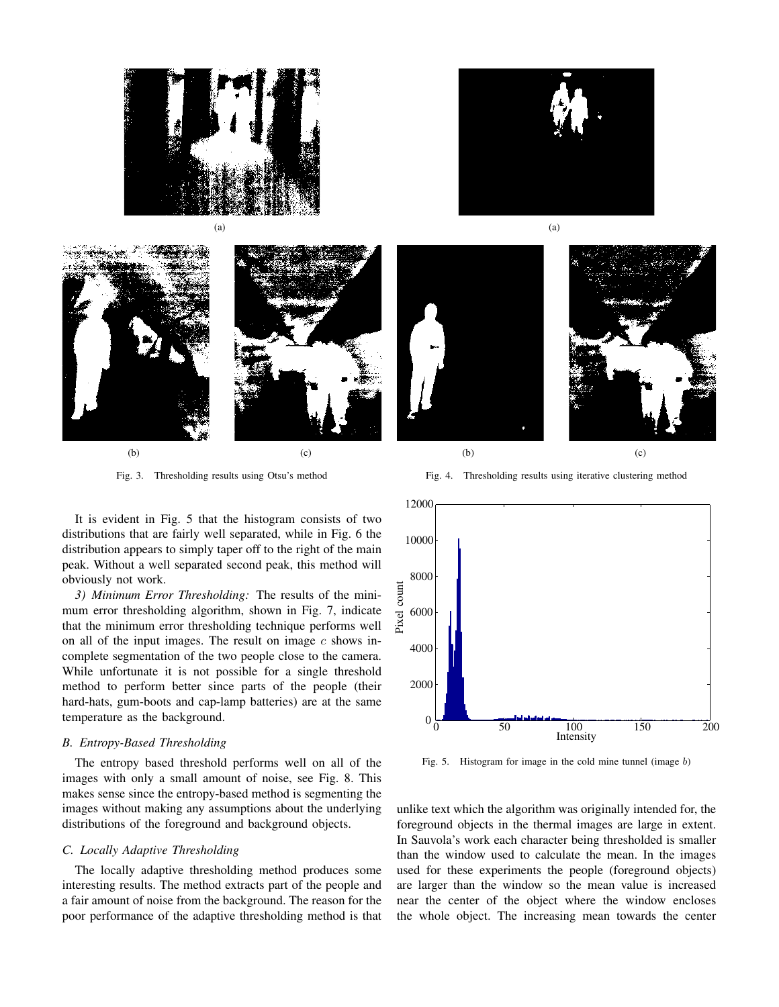





Fig. 4. Thresholding results using iterative clustering method



Fig. 5. Histogram for image in the cold mine tunnel (image b)

unlike text which the algorithm was originally intended for, the foreground objects in the thermal images are large in extent. In Sauvola's work each character being thresholded is smaller than the window used to calculate the mean. In the images used for these experiments the people (foreground objects) are larger than the window so the mean value is increased near the center of the object where the window encloses the whole object. The increasing mean towards the center



Fig. 3. Thresholding results using Otsu's method

It is evident in Fig. 5 that the histogram consists of two distributions that are fairly well separated, while in Fig. 6 the distribution appears to simply taper off to the right of the main peak. Without a well separated second peak, this method will obviously not work.

*3) Minimum Error Thresholding:* The results of the minimum error thresholding algorithm, shown in Fig. 7, indicate that the minimum error thresholding technique performs well on all of the input images. The result on image  $c$  shows incomplete segmentation of the two people close to the camera. While unfortunate it is not possible for a single threshold method to perform better since parts of the people (their hard-hats, gum-boots and cap-lamp batteries) are at the same temperature as the background.

# *B. Entropy-Based Thresholding*

The entropy based threshold performs well on all of the images with only a small amount of noise, see Fig. 8. This makes sense since the entropy-based method is segmenting the images without making any assumptions about the underlying distributions of the foreground and background objects.

#### *C. Locally Adaptive Thresholding*

The locally adaptive thresholding method produces some interesting results. The method extracts part of the people and a fair amount of noise from the background. The reason for the poor performance of the adaptive thresholding method is that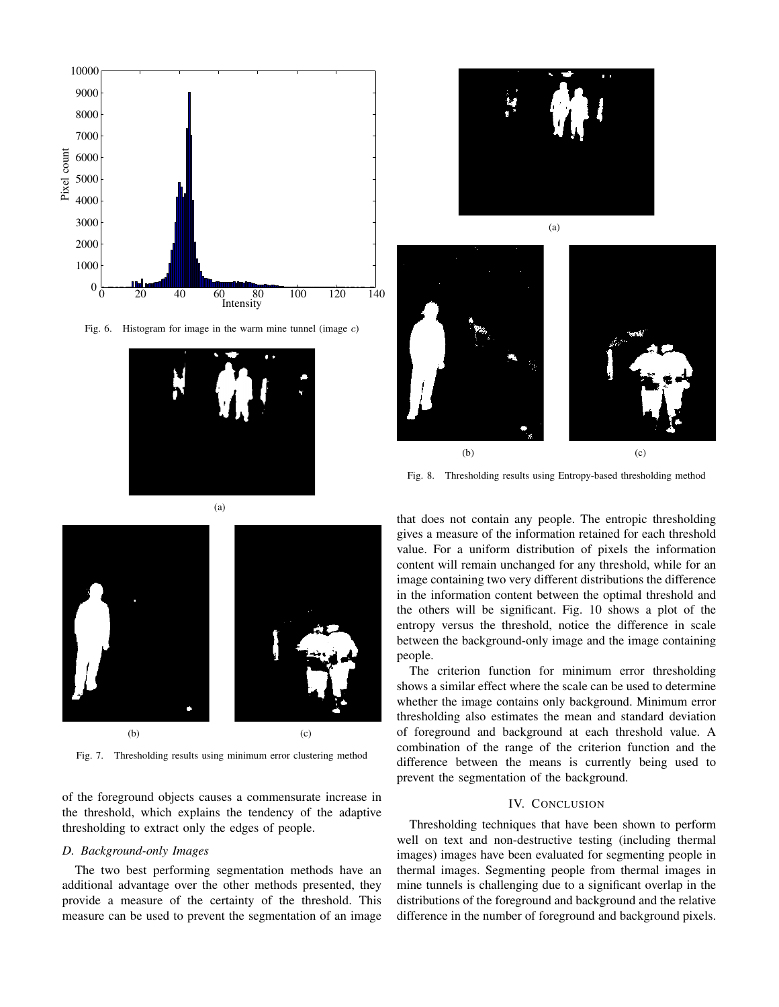

Fig. 6. Histogram for image in the warm mine tunnel (image  $c$ )







Fig. 8. Thresholding results using Entropy-based thresholding method

that does not contain any people. The entropic thresholding gives a measure of the information retained for each threshold value. For a uniform distribution of pixels the information content will remain unchanged for any threshold, while for an image containing two very different distributions the difference in the information content between the optimal threshold and the others will be significant. Fig. 10 shows a plot of the entropy versus the threshold, notice the difference in scale between the background-only image and the image containing people.

The criterion function for minimum error thresholding shows a similar effect where the scale can be used to determine whether the image contains only background. Minimum error thresholding also estimates the mean and standard deviation of foreground and background at each threshold value. A combination of the range of the criterion function and the difference between the means is currently being used to prevent the segmentation of the background.

# IV. CONCLUSION

Thresholding techniques that have been shown to perform well on text and non-destructive testing (including thermal images) images have been evaluated for segmenting people in thermal images. Segmenting people from thermal images in mine tunnels is challenging due to a significant overlap in the distributions of the foreground and background and the relative difference in the number of foreground and background pixels.



Fig. 7. Thresholding results using minimum error clustering method

of the foreground objects causes a commensurate increase in the threshold, which explains the tendency of the adaptive thresholding to extract only the edges of people.

## *D. Background-only Images*

The two best performing segmentation methods have an additional advantage over the other methods presented, they provide a measure of the certainty of the threshold. This measure can be used to prevent the segmentation of an image